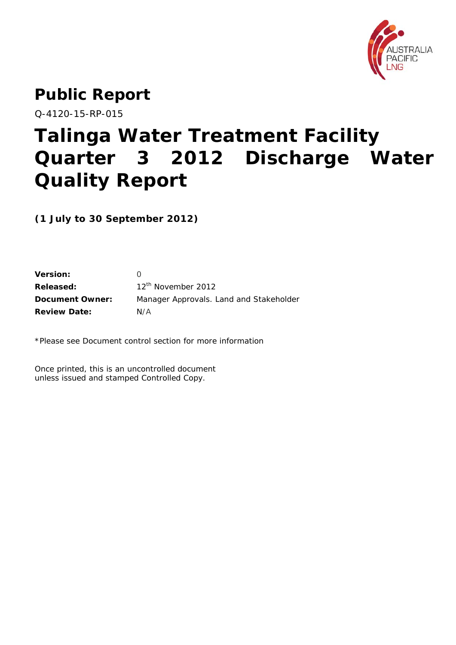

# **Public Report**

Q-4120-15-RP-015

# **Talinga Water Treatment Facility Quarter 3 2012 Discharge Water Quality Report**

**(1 July to 30 September 2012)** 

| <b>Version:</b>        |                                         |
|------------------------|-----------------------------------------|
| Released:              | 12 <sup>th</sup> November 2012          |
| <b>Document Owner:</b> | Manager Approvals. Land and Stakeholder |
| <b>Review Date:</b>    | N/A                                     |

\*Please see Document control section for more information

Once printed, this is an uncontrolled document unless issued and stamped Controlled Copy.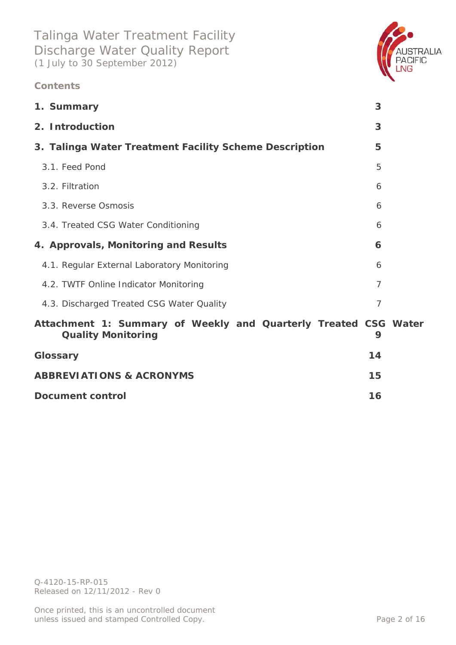### **Contents**



| 1. Summary                                                                                   | 3              |  |
|----------------------------------------------------------------------------------------------|----------------|--|
| 2. Introduction                                                                              | 3              |  |
| 3. Talinga Water Treatment Facility Scheme Description                                       | 5              |  |
| 3.1. Feed Pond                                                                               | 5              |  |
| 3.2. Filtration                                                                              | 6              |  |
| 3.3. Reverse Osmosis                                                                         | 6              |  |
| 3.4. Treated CSG Water Conditioning                                                          | 6              |  |
| 4. Approvals, Monitoring and Results                                                         | 6              |  |
| 4.1. Regular External Laboratory Monitoring                                                  | 6              |  |
| 4.2. TWTF Online Indicator Monitoring                                                        | $\overline{7}$ |  |
| 4.3. Discharged Treated CSG Water Quality                                                    | $\overline{7}$ |  |
| Attachment 1: Summary of Weekly and Quarterly Treated CSG Water<br><b>Quality Monitoring</b> | 9              |  |
| Glossary                                                                                     | 14             |  |
| <b>ABBREVIATIONS &amp; ACRONYMS</b>                                                          | 15             |  |
| <b>Document control</b>                                                                      | 16             |  |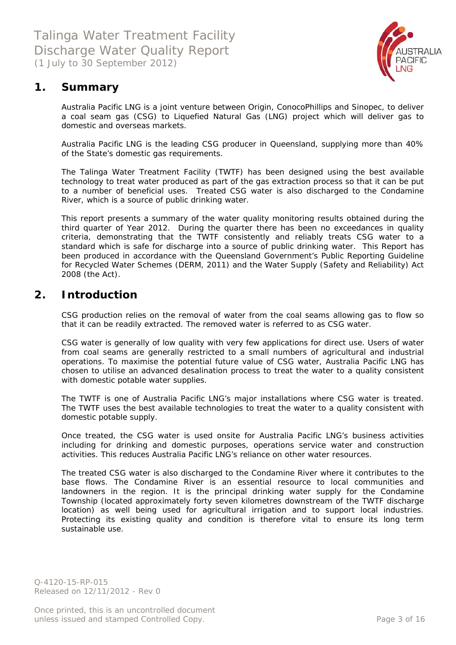

### **1. Summary**

Australia Pacific LNG is a joint venture between Origin, ConocoPhillips and Sinopec, to deliver a coal seam gas (CSG) to Liquefied Natural Gas (LNG) project which will deliver gas to domestic and overseas markets.

Australia Pacific LNG is the leading CSG producer in Queensland, supplying more than 40% of the State's domestic gas requirements.

The Talinga Water Treatment Facility (TWTF) has been designed using the best available technology to treat water produced as part of the gas extraction process so that it can be put to a number of beneficial uses. Treated CSG water is also discharged to the Condamine River, which is a source of public drinking water.

This report presents a summary of the water quality monitoring results obtained during the third quarter of Year 2012. During the quarter there has been *no exceedances in quality criteria*, demonstrating that the TWTF consistently and reliably treats CSG water to a standard which is safe for discharge into a source of public drinking water. This Report has been produced in accordance with the Queensland Government's *Public Reporting Guideline for Recycled Water Schemes* (DERM, 2011) and the *Water Supply (Safety and Reliability) Act 2008* (the Act).

### **2. Introduction**

CSG production relies on the removal of water from the coal seams allowing gas to flow so that it can be readily extracted. The removed water is referred to as CSG water.

CSG water is generally of low quality with very few applications for direct use. Users of water from coal seams are generally restricted to a small numbers of agricultural and industrial operations. To maximise the potential future value of CSG water, Australia Pacific LNG has chosen to utilise an advanced desalination process to treat the water to a quality consistent with domestic potable water supplies.

The TWTF is one of Australia Pacific LNG's major installations where CSG water is treated. The TWTF uses the best available technologies to treat the water to a quality consistent with domestic potable supply.

Once treated, the CSG water is used onsite for Australia Pacific LNG's business activities including for drinking and domestic purposes, operations service water and construction activities. This reduces Australia Pacific LNG's reliance on other water resources.

The treated CSG water is also discharged to the Condamine River where it contributes to the base flows. The Condamine River is an essential resource to local communities and landowners in the region. It is the principal drinking water supply for the Condamine Township (located approximately forty seven kilometres downstream of the TWTF discharge location) as well being used for agricultural irrigation and to support local industries. Protecting its existing quality and condition is therefore vital to ensure its long term sustainable use.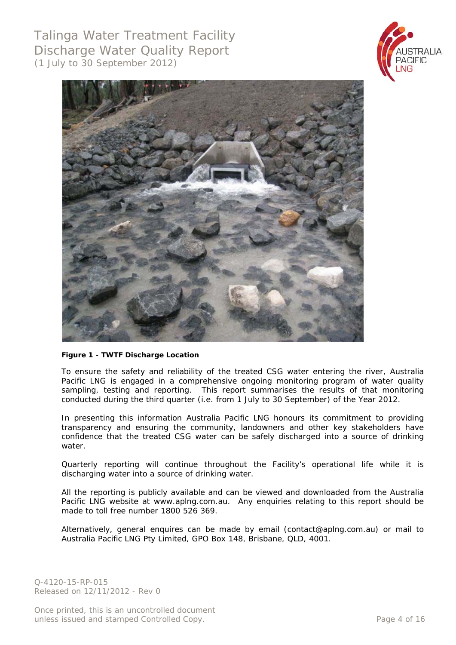



#### **Figure 1 - TWTF Discharge Location**

To ensure the safety and reliability of the treated CSG water entering the river, Australia Pacific LNG is engaged in a comprehensive ongoing monitoring program of water quality sampling, testing and reporting. This report summarises the results of that monitoring conducted during the third quarter (i.e. from 1 July to 30 September) of the Year 2012.

In presenting this information Australia Pacific LNG honours its commitment to providing transparency and ensuring the community, landowners and other key stakeholders have confidence that the treated CSG water can be safely discharged into a source of drinking water.

Quarterly reporting will continue throughout the Facility's operational life while it is discharging water into a source of drinking water.

All the reporting is publicly available and can be viewed and downloaded from the Australia Pacific LNG website at www.aplng.com.au. Any enquiries relating to this report should be made to toll free number 1800 526 369.

Alternatively, general enquires can be made by email (contact@aplng.com.au) or mail to Australia Pacific LNG Pty Limited, GPO Box 148, Brisbane, QLD, 4001.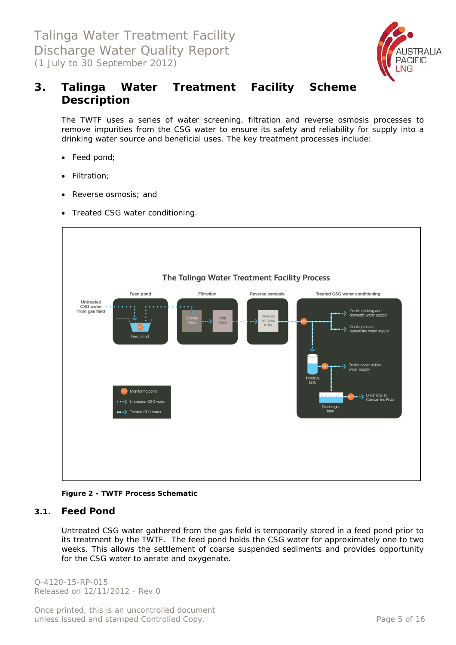

## **3. Talinga Water Treatment Facility Scheme Description**

The TWTF uses a series of water screening, filtration and reverse osmosis processes to remove impurities from the CSG water to ensure its safety and reliability for supply into a drinking water source and beneficial uses. The key treatment processes include:

- Feed pond;
- Filtration;
- Reverse osmosis; and
- Treated CSG water conditioning.



**Figure 2 - TWTF Process Schematic** 

#### **3.1. Feed Pond**

Untreated CSG water gathered from the gas field is temporarily stored in a feed pond prior to its treatment by the TWTF. The feed pond holds the CSG water for approximately one to two weeks. This allows the settlement of coarse suspended sediments and provides opportunity for the CSG water to aerate and oxygenate.

Q-4120-15-RP-015 Released on 12/11/2012 - Rev 0

Once printed, this is an uncontrolled document unless issued and stamped Controlled Copy. The example of the example of 16 and 16 and 16 and 16 and 16 and 16 and 16 and 16 and 16 and 16 and 16 and 16 and 16 and 16 and 16 and 16 and 16 and 16 and 16 and 16 and 16 and 16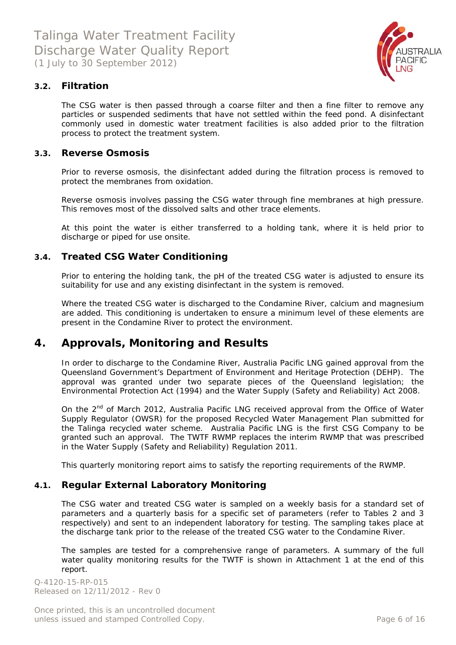

### **3.2. Filtration**

The CSG water is then passed through a coarse filter and then a fine filter to remove any particles or suspended sediments that have not settled within the feed pond. A disinfectant commonly used in domestic water treatment facilities is also added prior to the filtration process to protect the treatment system.

#### **3.3. Reverse Osmosis**

Prior to reverse osmosis, the disinfectant added during the filtration process is removed to protect the membranes from oxidation.

Reverse osmosis involves passing the CSG water through fine membranes at high pressure. This removes most of the dissolved salts and other trace elements.

At this point the water is either transferred to a holding tank, where it is held prior to discharge or piped for use onsite.

#### **3.4. Treated CSG Water Conditioning**

Prior to entering the holding tank, the pH of the treated CSG water is adjusted to ensure its suitability for use and any existing disinfectant in the system is removed.

Where the treated CSG water is discharged to the Condamine River, calcium and magnesium are added. This conditioning is undertaken to ensure a minimum level of these elements are present in the Condamine River to protect the environment.

### **4. Approvals, Monitoring and Results**

In order to discharge to the Condamine River, Australia Pacific LNG gained approval from the Queensland Government's Department of Environment and Heritage Protection (DEHP). The approval was granted under two separate pieces of the Queensland legislation; the Environmental Protection Act (1994) and the Water Supply (Safety and Reliability) Act 2008.

On the 2<sup>nd</sup> of March 2012, Australia Pacific LNG received approval from the Office of Water Supply Regulator (OWSR) for the proposed Recycled Water Management Plan submitted for the Talinga recycled water scheme. Australia Pacific LNG is the first CSG Company to be granted such an approval. The TWTF RWMP replaces the interim RWMP that was prescribed in the Water Supply (Safety and Reliability) Regulation 2011.

This quarterly monitoring report aims to satisfy the reporting requirements of the RWMP.

#### **4.1. Regular External Laboratory Monitoring**

The CSG water and treated CSG water is sampled on a weekly basis for a standard set of parameters and a quarterly basis for a specific set of parameters (refer to Tables 2 and 3 respectively) and sent to an independent laboratory for testing. The sampling takes place at the discharge tank prior to the release of the treated CSG water to the Condamine River.

The samples are tested for a comprehensive range of parameters. A summary of the full water quality monitoring results for the TWTF is shown in Attachment 1 at the end of this report.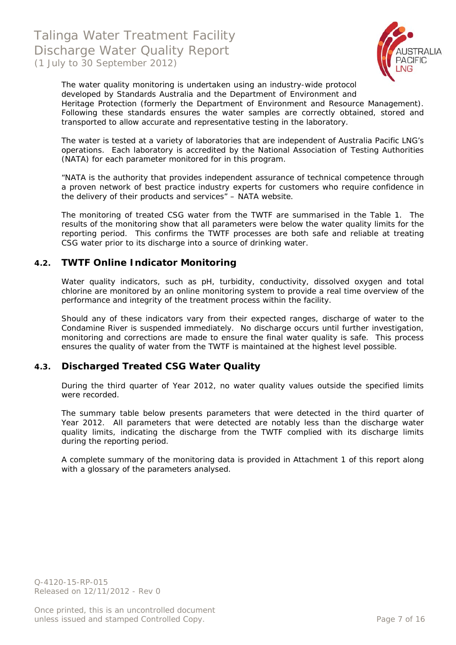

The water quality monitoring is undertaken using an industry-wide protocol developed by Standards Australia and the Department of Environment and Heritage Protection (formerly the Department of Environment and Resource Management). Following these standards ensures the water samples are correctly obtained, stored and transported to allow accurate and representative testing in the laboratory.

The water is tested at a variety of laboratories that are independent of Australia Pacific LNG's operations. Each laboratory is accredited by the National Association of Testing Authorities (NATA) for each parameter monitored for in this program.

*"NATA is the authority that provides independent assurance of technical competence through a proven network of best practice industry experts for customers who require confidence in the delivery of their products and services"* – NATA website.

The monitoring of treated CSG water from the TWTF are summarised in the Table 1. The results of the monitoring show that all parameters were below the water quality limits for the reporting period. This confirms the TWTF processes are both safe and reliable at treating CSG water prior to its discharge into a source of drinking water.

#### **4.2. TWTF Online Indicator Monitoring**

Water quality indicators, such as pH, turbidity, conductivity, dissolved oxygen and total chlorine are monitored by an online monitoring system to provide a real time overview of the performance and integrity of the treatment process within the facility.

Should any of these indicators vary from their expected ranges, discharge of water to the Condamine River is suspended immediately. No discharge occurs until further investigation, monitoring and corrections are made to ensure the final water quality is safe. This process ensures the quality of water from the TWTF is maintained at the highest level possible.

#### **4.3. Discharged Treated CSG Water Quality**

During the third quarter of Year 2012, no water quality values outside the specified limits were recorded.

The summary table below presents parameters that were detected in the third quarter of Year 2012. All parameters that were detected are notably less than the discharge water quality limits, indicating the discharge from the TWTF complied with its discharge limits during the reporting period.

A complete summary of the monitoring data is provided in Attachment 1 of this report along with a glossary of the parameters analysed.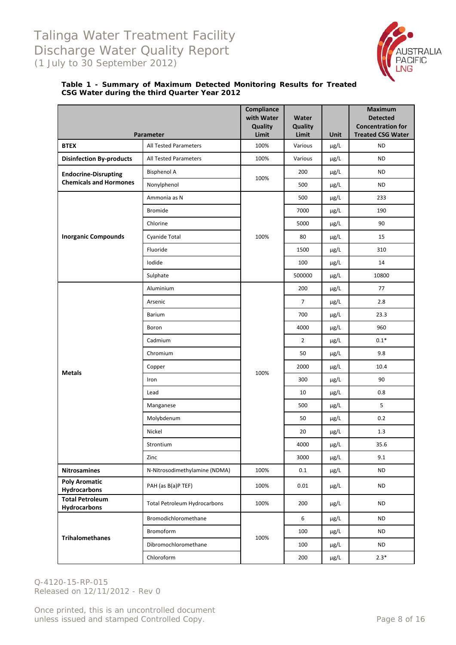

#### **Table 1 - Summary of Maximum Detected Monitoring Results for Treated CSG Water during the third Quarter Year 2012**

|                                                              |                                     | Compliance<br>with Water<br>Quality | Water<br>Quality |                     | <b>Maximum</b><br><b>Detected</b><br><b>Concentration for</b> |
|--------------------------------------------------------------|-------------------------------------|-------------------------------------|------------------|---------------------|---------------------------------------------------------------|
| <b>BTEX</b>                                                  | Parameter<br>All Tested Parameters  | Limit<br>100%                       | Limit<br>Various | <b>Unit</b><br>µg/L | <b>Treated CSG Water</b><br>ND                                |
| <b>Disinfection By-products</b>                              | All Tested Parameters               | 100%                                | Various          | µg/L                | <b>ND</b>                                                     |
|                                                              | <b>Bisphenol A</b>                  |                                     | 200              | μg/L                | <b>ND</b>                                                     |
| <b>Endocrine-Disrupting</b><br><b>Chemicals and Hormones</b> | Nonylphenol                         | 100%                                | 500              | $\mu$ g/L           | <b>ND</b>                                                     |
|                                                              | Ammonia as N                        |                                     | 500              | µg/L                | 233                                                           |
|                                                              | <b>Bromide</b>                      |                                     | 7000             | µg/L                | 190                                                           |
|                                                              | Chlorine                            |                                     | 5000             | μg/L                | 90                                                            |
| <b>Inorganic Compounds</b>                                   | Cyanide Total                       | 100%                                | 80               | $\mu$ g/L           | 15                                                            |
|                                                              | Fluoride                            |                                     | 1500             | μg/L                | 310                                                           |
|                                                              | Iodide                              |                                     | 100              | μg/L                | 14                                                            |
|                                                              | Sulphate                            |                                     | 500000           | $\mu$ g/L           | 10800                                                         |
|                                                              | Aluminium                           |                                     | 200              | μg/L                | 77                                                            |
|                                                              | Arsenic                             |                                     | $\overline{7}$   | μg/L                | 2.8                                                           |
|                                                              | <b>Barium</b>                       |                                     | 700              | $\mu$ g/L           | 23.3                                                          |
|                                                              | Boron                               |                                     | 4000             | μg/L                | 960                                                           |
|                                                              | Cadmium                             |                                     | $\overline{2}$   | μg/L                | $0.1*$                                                        |
|                                                              | Chromium                            |                                     | 50               | $\mu$ g/L           | 9.8                                                           |
|                                                              | Copper                              |                                     | 2000             | μg/L                | 10.4                                                          |
| <b>Metals</b>                                                | Iron                                | 100%                                | 300              | μg/L                | 90                                                            |
|                                                              | Lead                                |                                     | 10               | $\mu$ g/L           | 0.8                                                           |
|                                                              | Manganese                           |                                     | 500              | $\mu$ g/L           | 5                                                             |
|                                                              | Molybdenum                          |                                     | 50               | µg/L                | 0.2                                                           |
|                                                              | Nickel                              |                                     | 20               | μg/L                | 1.3                                                           |
|                                                              | Strontium                           |                                     | 4000             | $\mu$ g/L           | 35.6                                                          |
|                                                              | Zinc                                |                                     | 3000             | µg/L                | 9.1                                                           |
| <b>Nitrosamines</b>                                          | N-Nitrosodimethylamine (NDMA)       | 100%                                | 0.1              | μg/L                | <b>ND</b>                                                     |
| <b>Poly Aromatic</b>                                         | PAH (as B(a)P TEF)                  | 100%                                | 0.01             | $\mu$ g/L           | <b>ND</b>                                                     |
| Hydrocarbons<br><b>Total Petroleum</b>                       |                                     |                                     |                  |                     |                                                               |
| <b>Hydrocarbons</b>                                          | <b>Total Petroleum Hydrocarbons</b> | 100%                                | 200              | μg/L                | <b>ND</b>                                                     |
|                                                              | Bromodichloromethane                |                                     | 6                | μg/L                | <b>ND</b>                                                     |
| <b>Trihalomethanes</b>                                       | Bromoform                           | 100%                                | 100              | μg/L                | <b>ND</b>                                                     |
|                                                              | Dibromochloromethane                |                                     | 100              | $\mu$ g/L           | <b>ND</b>                                                     |
|                                                              | Chloroform                          |                                     | 200              | μg/L                | $2.3*$                                                        |

Q-4120-15-RP-015 Released on 12/11/2012 - Rev 0

Once printed, this is an uncontrolled document unless issued and stamped Controlled Copy. The extendion of the Page 8 of 16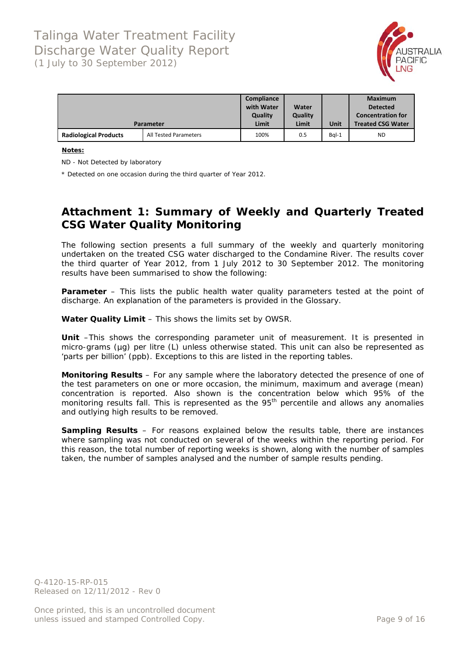

|                              |                              | Compliance<br>with Water<br><b>Quality</b> | Water<br>Quality |         | <b>Maximum</b><br><b>Detected</b><br><b>Concentration for</b> |
|------------------------------|------------------------------|--------------------------------------------|------------------|---------|---------------------------------------------------------------|
|                              | <b>Parameter</b>             | Limit                                      | Limit            | Unit    | <b>Treated CSG Water</b>                                      |
| <b>Radiological Products</b> | <b>All Tested Parameters</b> | 100%                                       | 0.5              | $BqI-1$ | <b>ND</b>                                                     |

#### **Notes:**

ND - Not Detected by laboratory

\* Detected on one occasion during the third quarter of Year 2012.

### **Attachment 1: Summary of Weekly and Quarterly Treated CSG Water Quality Monitoring**

The following section presents a full summary of the weekly and quarterly monitoring undertaken on the treated CSG water discharged to the Condamine River. The results cover the third quarter of Year 2012, from 1 July 2012 to 30 September 2012. The monitoring results have been summarised to show the following:

**Parameter** – This lists the public health water quality parameters tested at the point of discharge. An explanation of the parameters is provided in the Glossary.

**Water Quality Limit** – This shows the limits set by OWSR.

**Unit** –This shows the corresponding parameter unit of measurement. It is presented in micro-grams (µg) per litre (L) unless otherwise stated. This unit can also be represented as 'parts per billion' (ppb). Exceptions to this are listed in the reporting tables.

**Monitoring Results** – For any sample where the laboratory detected the presence of one of the test parameters on one or more occasion, the minimum, maximum and average (mean) concentration is reported. Also shown is the concentration below which 95% of the monitoring results fall. This is represented as the 95<sup>th</sup> percentile and allows any anomalies and outlying high results to be removed.

**Sampling Results** – For reasons explained below the results table, there are instances where sampling was not conducted on several of the weeks within the reporting period. For this reason, the total number of reporting weeks is shown, along with the number of samples taken, the number of samples analysed and the number of sample results pending.

Q-4120-15-RP-015 Released on 12/11/2012 - Rev 0

Once printed, this is an uncontrolled document unless issued and stamped Controlled Copy. The example of the example of 16 and 16 and 16 and 16 and 16 and 16 and 16 and 16 and 16 and 16 and 16 and 16 and 16 and 16 and 16 and 16 and 16 and 16 and 16 and 16 and 16 and 16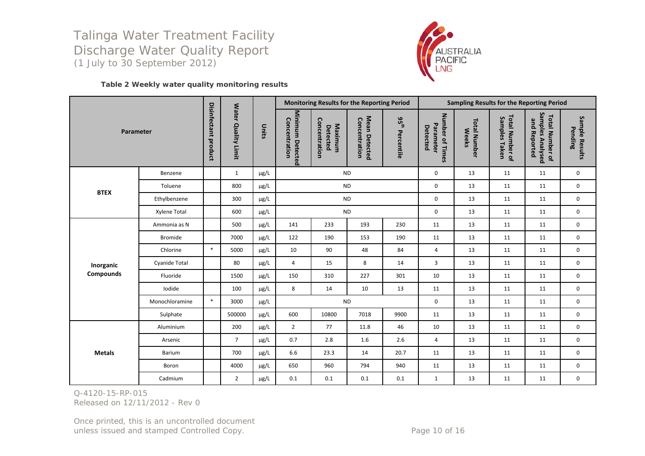

#### **Table 2 Weekly water quality monitoring results**

|                  |                |                             |                     |           |                                   |                                             | Monitoring Results for the Reporting Period |                                | <b>Sampling Results for the Reporting Period</b> |                                     |                                  |                                                            |                           |
|------------------|----------------|-----------------------------|---------------------|-----------|-----------------------------------|---------------------------------------------|---------------------------------------------|--------------------------------|--------------------------------------------------|-------------------------------------|----------------------------------|------------------------------------------------------------|---------------------------|
| Parameter        |                | <b>Disinfectant product</b> | Water Quality Limit | Units     | Minimum Detected<br>Concentration | Concentration<br>Maximum<br><b>Detected</b> | Mean Detected<br>Concentration              | 95 <sup>th</sup><br>Percentile | Number of Times<br>Parameter<br>Detected         | <b>Total Number</b><br><b>Weeks</b> | Total Number of<br>Samples Taken | Samples Analysed<br><b>Total Number of</b><br>and Reported | Sample Results<br>Pending |
|                  | Benzene        |                             | $\mathbf{1}$        | µg/L      |                                   |                                             | <b>ND</b>                                   |                                | $\mathbf{0}$                                     | 13                                  | 11                               | 11                                                         | $\mathbf 0$               |
| <b>BTEX</b>      | Toluene        |                             | 800                 | $\mu$ g/L |                                   |                                             | <b>ND</b>                                   |                                | 0                                                | 13                                  | 11                               | 11                                                         | $\mathbf 0$               |
|                  | Ethylbenzene   |                             | 300                 | µg/L      |                                   |                                             | <b>ND</b>                                   |                                | 0                                                | 13                                  | 11                               | 11                                                         | $\mathbf 0$               |
|                  | Xylene Total   |                             | 600                 | µg/L      |                                   |                                             | <b>ND</b>                                   |                                | 0                                                | 13                                  | 11                               | 11                                                         | $\mathbf 0$               |
|                  | Ammonia as N   |                             | 500                 | µg/L      | 141                               | 233                                         | 193                                         | 230                            | 11                                               | 13                                  | 11                               | 11                                                         | $\mathbf 0$               |
|                  | <b>Bromide</b> |                             | 7000                | µg/L      | 122                               | 190                                         | 153                                         | 190                            | 11                                               | 13                                  | 11                               | 11                                                         | 0                         |
|                  | Chlorine       | $\ast$                      | 5000                | µg/L      | 10                                | 90                                          | 48                                          | 84                             | $\overline{4}$                                   | 13                                  | 11                               | 11                                                         | $\mathbf 0$               |
| Inorganic        | Cyanide Total  |                             | 80                  | µg/L      | $\overline{4}$                    | 15                                          | 8                                           | 14                             | 3                                                | 13                                  | 11                               | 11                                                         | $\mathbf 0$               |
| <b>Compounds</b> | Fluoride       |                             | 1500                | µg/L      | 150                               | 310                                         | 227                                         | 301                            | 10                                               | 13                                  | 11                               | 11                                                         | $\mathbf 0$               |
|                  | Iodide         |                             | 100                 | µg/L      | 8                                 | 14                                          | 10                                          | 13                             | 11                                               | 13                                  | 11                               | 11                                                         | $\mathbf 0$               |
|                  | Monochloramine | $\ast$                      | 3000                | $\mu$ g/L |                                   |                                             | <b>ND</b>                                   |                                | $\mathbf 0$                                      | 13                                  | 11                               | 11                                                         | 0                         |
|                  | Sulphate       |                             | 500000              | µg/L      | 600                               | 10800                                       | 7018                                        | 9900                           | 11                                               | 13                                  | 11                               | 11                                                         | 0                         |
|                  | Aluminium      |                             | 200                 | µg/L      | $\overline{2}$                    | 77                                          | 11.8                                        | 46                             | 10                                               | 13                                  | 11                               | 11                                                         | $\mathbf 0$               |
|                  | Arsenic        |                             | $\overline{7}$      | $\mu$ g/L | 0.7                               | 2.8                                         | 1.6                                         | 2.6                            | $\overline{4}$                                   | 13                                  | 11                               | 11                                                         | $\mathbf 0$               |
| <b>Metals</b>    | Barium         |                             | 700                 | µg/L      | 6.6                               | 23.3                                        | 14                                          | 20.7                           | 11                                               | 13                                  | 11                               | 11                                                         | $\mathbf 0$               |
|                  | Boron          |                             | 4000                | µg/L      | 650                               | 960                                         | 794                                         | 940                            | 11                                               | 13                                  | 11                               | 11                                                         | $\mathbf 0$               |
|                  | Cadmium        |                             | $\overline{2}$      | $\mu$ g/L | 0.1                               | 0.1                                         | 0.1                                         | 0.1                            | $\mathbf{1}$                                     | 13                                  | 11                               | 11                                                         | 0                         |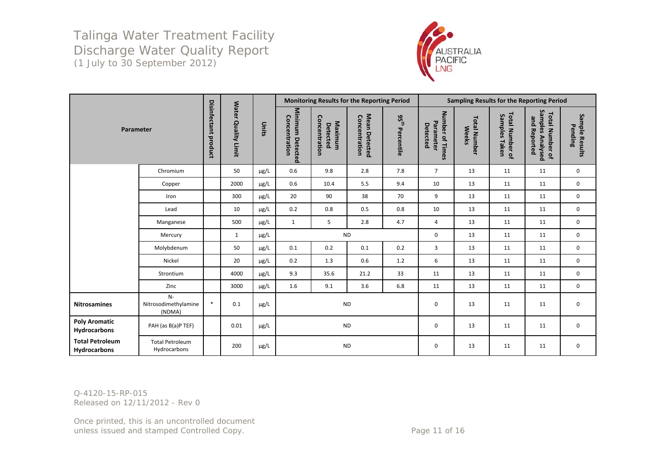

|                                        |                                        |                      |                     |           |                                   | Monitoring Results for the Reporting Period |                                |                             | <b>Sampling Results for the Reporting Period</b> |                                     |                                  |                                                            |                           |
|----------------------------------------|----------------------------------------|----------------------|---------------------|-----------|-----------------------------------|---------------------------------------------|--------------------------------|-----------------------------|--------------------------------------------------|-------------------------------------|----------------------------------|------------------------------------------------------------|---------------------------|
| Parameter                              |                                        | Disinfectant product | Water Quality Limit | Units     | Minimum Detected<br>Concentration | Concentration<br>Maximum<br>Detected        | Mean Detected<br>Concentration | $95^{\rm th}$<br>Percentile | Number of Times<br>Parameter<br>Detected         | <b>Total Number</b><br><b>Weeks</b> | Total Number of<br>Samples Taken | Samples Analysed<br><b>Total Number of</b><br>and Reported | Sample Results<br>Pending |
|                                        | Chromium                               |                      | 50                  | $\mu$ g/L | 0.6                               | 9.8                                         | 2.8                            | 7.8                         | $7^{\circ}$                                      | 13                                  | 11                               | 11                                                         | 0                         |
|                                        | Copper                                 |                      | 2000                | $\mu$ g/L | 0.6                               | 10.4                                        | 5.5                            | 9.4                         | 10                                               | 13                                  | 11                               | 11                                                         | 0                         |
|                                        | Iron                                   |                      | 300                 | $\mu$ g/L | 20                                | 90                                          | 38                             | 70                          | 9                                                | 13                                  | 11                               | 11                                                         | $\mathbf 0$               |
|                                        | Lead                                   |                      | 10                  | µg/L      | 0.2                               | 0.8                                         | 0.5                            | 0.8                         | 10                                               | 13                                  | 11                               | 11                                                         | 0                         |
|                                        | Manganese                              |                      | 500                 | $\mu$ g/L | $\mathbf{1}$                      | 5                                           | 2.8                            | 4.7                         | 4                                                | 13                                  | 11                               | 11                                                         | 0                         |
|                                        | Mercury                                |                      | $\mathbf{1}$        | $\mu$ g/L |                                   | <b>ND</b>                                   |                                |                             | $\mathbf 0$                                      | 13                                  | 11                               | 11                                                         | $\mathbf 0$               |
|                                        | Molybdenum                             |                      | 50                  | $\mu$ g/L | 0.1                               | 0.2                                         | 0.1                            | 0.2                         | $\overline{3}$                                   | 13                                  | 11                               | 11                                                         | $\mathbf 0$               |
|                                        | Nickel                                 |                      | 20                  | $\mu$ g/L | 0.2                               | 1.3                                         | 0.6                            | 1.2                         | 6                                                | 13                                  | 11                               | 11                                                         | 0                         |
|                                        | Strontium                              |                      | 4000                | $\mu$ g/L | 9.3                               | 35.6                                        | 21.2                           | 33                          | 11                                               | 13                                  | 11                               | 11                                                         | $\mathbf 0$               |
|                                        | Zinc                                   |                      | 3000                | µg/L      | 1.6                               | 9.1                                         | 3.6                            | 6.8                         | 11                                               | 13                                  | 11                               | 11                                                         | $\mathbf 0$               |
| <b>Nitrosamines</b>                    | $N-$<br>Nitrosodimethylamine<br>(NDMA) | $\ast$               | 0.1                 | $\mu$ g/L |                                   | <b>ND</b>                                   |                                |                             | 0                                                | 13                                  | 11                               | 11                                                         | 0                         |
| <b>Poly Aromatic</b><br>Hydrocarbons   | PAH (as B(a)P TEF)                     |                      | 0.01                | $\mu$ g/L |                                   | <b>ND</b>                                   |                                |                             | 0                                                | 13                                  | 11                               | 11                                                         | $\mathbf 0$               |
| <b>Total Petroleum</b><br>Hydrocarbons | <b>Total Petroleum</b><br>Hydrocarbons |                      | 200                 | $\mu$ g/L |                                   | <b>ND</b>                                   |                                |                             | 0                                                | 13                                  | 11                               | 11                                                         | 0                         |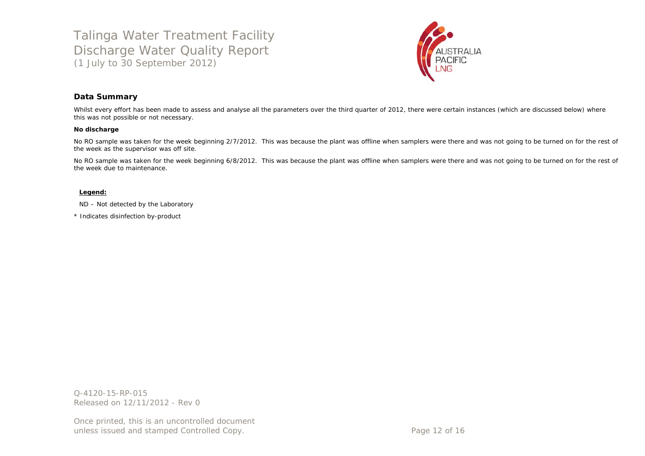

#### **Data Summary**

Whilst every effort has been made to assess and analyse all the parameters over the third quarter of 2012, there were certain instances (which are discussed below) where this was not possible or not necessary.

#### **No discharge**

No RO sample was taken for the week beginning 2/7/2012. This was because the plant was offline when samplers were there and was not going to be turned on for the rest of the week as the supervisor was off site.

No RO sample was taken for the week beginning 6/8/2012. This was because the plant was offline when samplers were there and was not going to be turned on for the rest of the week due to maintenance.

#### **Legend:**

ND – Not detected by the Laboratory

\* Indicates disinfection by-product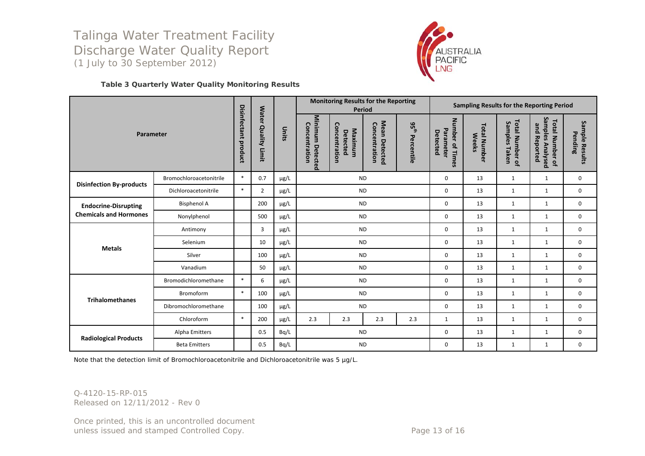

#### **Table 3 Quarterly Water Quality Monitoring Results**

|                                 |                         |                                |                                      |           | <b>Monitoring Results for the Reporting</b><br><b>Period</b> |                                      |                                | Sampling Results for the Reporting Period |                                          |                                     |                                       |                                                            |                           |
|---------------------------------|-------------------------|--------------------------------|--------------------------------------|-----------|--------------------------------------------------------------|--------------------------------------|--------------------------------|-------------------------------------------|------------------------------------------|-------------------------------------|---------------------------------------|------------------------------------------------------------|---------------------------|
| Parameter                       |                         | <b>Disinfectant</b><br>product | <b>Water</b><br><b>Quality Limit</b> | Units     | Minimum Detected<br>Concentration                            | Concentration<br>Maximum<br>Detected | Mean Detected<br>Concentration | 95 <sup>th</sup><br>Percentile            | Number of Times<br>Parameter<br>Detected | <b>Total Number</b><br><b>Weeks</b> | Total Number of<br>Samples<br>i Taken | Samples Analysed<br><b>Total Number of</b><br>and Reported | Sample Results<br>Pending |
| <b>Disinfection By-products</b> | Bromochloroacetonitrile | $\ast$                         | 0.7                                  | $\mu$ g/L |                                                              | <b>ND</b>                            |                                |                                           | 0                                        | 13                                  | 1                                     | $\mathbf{1}$                                               | 0                         |
|                                 | Dichloroacetonitrile    | $\ast$                         | $\overline{2}$                       | $\mu$ g/L |                                                              | <b>ND</b>                            |                                |                                           | $\mathbf 0$                              | 13                                  | 1                                     | 1                                                          | 0                         |
| <b>Endocrine-Disrupting</b>     | <b>Bisphenol A</b>      |                                | 200                                  | µg/L      | <b>ND</b>                                                    |                                      |                                |                                           | $\mathbf 0$                              | 13                                  | $\mathbf{1}$                          | $\mathbf{1}$                                               | 0                         |
| <b>Chemicals and Hormones</b>   | Nonylphenol             |                                | 500                                  | $\mu$ g/L |                                                              | <b>ND</b>                            |                                |                                           |                                          | 13                                  | $\mathbf{1}$                          | 1                                                          | 0                         |
|                                 | Antimony                |                                | $\overline{3}$                       | $\mu$ g/L |                                                              | <b>ND</b>                            |                                |                                           | $\mathbf 0$                              | 13                                  | $\mathbf{1}$                          | 1                                                          | $\mathbf 0$               |
| <b>Metals</b>                   | Selenium                |                                | 10                                   | µg/L      |                                                              | <b>ND</b>                            |                                |                                           | $\mathbf 0$                              | 13                                  | 1                                     | 1                                                          | 0                         |
|                                 | Silver                  |                                | 100                                  | $\mu$ g/L |                                                              | <b>ND</b>                            |                                |                                           | $\mathbf 0$                              | 13                                  | $\mathbf{1}$                          | $\mathbf{1}$                                               | $\mathbf 0$               |
|                                 | Vanadium                |                                | 50                                   | µg/L      |                                                              | <b>ND</b>                            |                                |                                           | 0                                        | 13                                  | 1                                     | 1                                                          | 0                         |
|                                 | Bromodichloromethane    | $\ast$                         | 6                                    | $\mu$ g/L |                                                              | <b>ND</b>                            |                                |                                           | $\mathbf 0$                              | 13                                  | $\mathbf{1}$                          | $\mathbf{1}$                                               | $\mathbf 0$               |
| <b>Trihalomethanes</b>          | Bromoform               | $\ast$                         | 100                                  | μg/L      |                                                              | <b>ND</b>                            |                                |                                           | 0                                        | 13                                  | $\mathbf{1}$                          | $\mathbf{1}$                                               | $\mathbf 0$               |
|                                 | Dibromochloromethane    |                                | 100                                  | µg/L      |                                                              | <b>ND</b>                            |                                |                                           | 0                                        | 13                                  | $\mathbf{1}$                          | $\mathbf{1}$                                               | $\mathbf 0$               |
|                                 | Chloroform              | $\ast$                         | 200                                  | μg/L      | 2.3                                                          | 2.3                                  | 2.3                            | 2.3                                       | 1                                        | 13                                  | 1                                     | 1                                                          | 0                         |
|                                 | Alpha Emitters          |                                | 0.5                                  | Bq/L      |                                                              | <b>ND</b>                            |                                |                                           | 0                                        | 13                                  | 1                                     | 1                                                          | 0                         |
| <b>Radiological Products</b>    | <b>Beta Emitters</b>    |                                | 0.5                                  | Bq/L      |                                                              | <b>ND</b>                            |                                |                                           | 0                                        | 13                                  | 1                                     | 1                                                          | 0                         |

Note that the detection limit of Bromochloroacetonitrile and Dichloroacetonitrile was 5 µg/L.

Q-4120-15-RP-015 Released on 12/11/2012 - Rev 0

Once printed, this is an uncontrolled document unless issued and stamped Controlled Copy. The example of the Page 13 of 16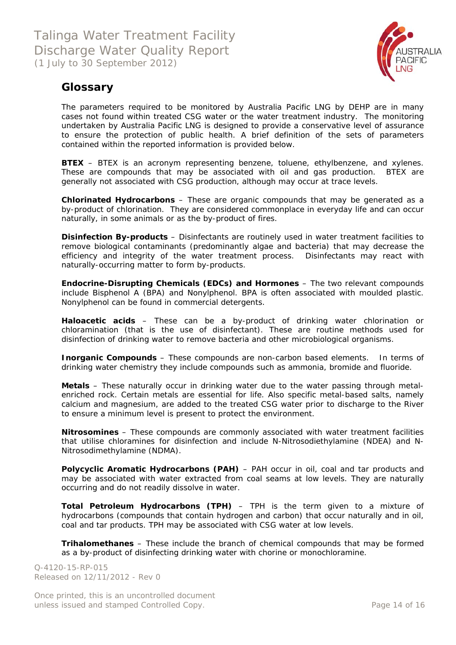

### **Glossary**

The parameters required to be monitored by Australia Pacific LNG by DEHP are in many cases not found within treated CSG water or the water treatment industry. The monitoring undertaken by Australia Pacific LNG is designed to provide a conservative level of assurance to ensure the protection of public health. A brief definition of the sets of parameters contained within the reported information is provided below.

**BTEX** – BTEX is an acronym representing benzene, toluene, ethylbenzene, and xylenes. These are compounds that may be associated with oil and gas production. BTEX are generally not associated with CSG production, although may occur at trace levels.

**Chlorinated Hydrocarbons** – These are organic compounds that may be generated as a by-product of chlorination. They are considered commonplace in everyday life and can occur naturally, in some animals or as the by-product of fires.

**Disinfection By-products** – Disinfectants are routinely used in water treatment facilities to remove biological contaminants (predominantly algae and bacteria) that may decrease the efficiency and integrity of the water treatment process. Disinfectants may react with naturally-occurring matter to form by-products.

**Endocrine-Disrupting Chemicals (EDCs) and Hormones** – The two relevant compounds include Bisphenol A (BPA) and Nonylphenol. BPA is often associated with moulded plastic. Nonylphenol can be found in commercial detergents.

**Haloacetic acids** – These can be a by-product of drinking water chlorination or chloramination (that is the use of disinfectant). These are routine methods used for disinfection of drinking water to remove bacteria and other microbiological organisms.

**Inorganic Compounds** – These compounds are non-carbon based elements. In terms of drinking water chemistry they include compounds such as ammonia, bromide and fluoride.

**Metals** – These naturally occur in drinking water due to the water passing through metalenriched rock. Certain metals are essential for life. Also specific metal-based salts, namely calcium and magnesium, are added to the treated CSG water prior to discharge to the River to ensure a minimum level is present to protect the environment.

**Nitrosomines** – These compounds are commonly associated with water treatment facilities that utilise chloramines for disinfection and include N-Nitrosodiethylamine (NDEA) and N-Nitrosodimethylamine (NDMA).

**Polycyclic Aromatic Hydrocarbons (PAH)** – PAH occur in oil, coal and tar products and may be associated with water extracted from coal seams at low levels. They are naturally occurring and do not readily dissolve in water.

**Total Petroleum Hydrocarbons (TPH)** – TPH is the term given to a mixture of hydrocarbons (compounds that contain hydrogen and carbon) that occur naturally and in oil, coal and tar products. TPH may be associated with CSG water at low levels.

**Trihalomethanes** – These include the branch of chemical compounds that may be formed as a by-product of disinfecting drinking water with chorine or monochloramine.

Q-4120-15-RP-015 Released on 12/11/2012 - Rev 0

Once printed, this is an uncontrolled document unless issued and stamped Controlled Copy. The extended of 16 and 20 and 20 and 20 and 20 and 20 and 20 and 20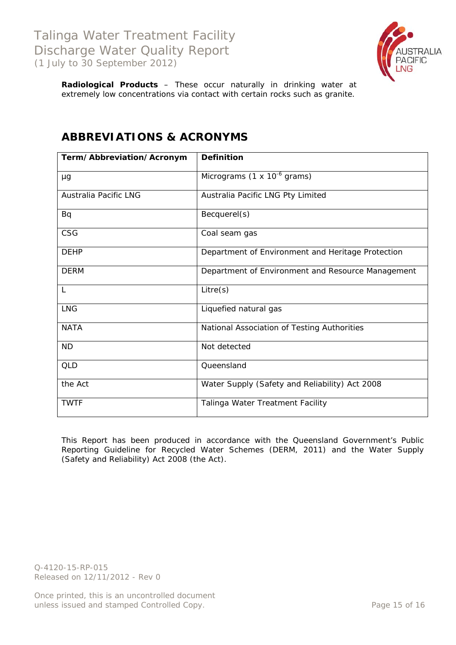

**Radiological Products** – These occur naturally in drinking water at extremely low concentrations *via* contact with certain rocks such as granite.

| Term/Abbreviation/Acronym    | <b>Definition</b>                                 |
|------------------------------|---------------------------------------------------|
| μg                           | Micrograms (1 $\times$ 10 <sup>-6</sup> grams)    |
| <b>Australia Pacific LNG</b> | Australia Pacific LNG Pty Limited                 |
| Bq                           | Becquerel(s)                                      |
| <b>CSG</b>                   | Coal seam gas                                     |
| <b>DEHP</b>                  | Department of Environment and Heritage Protection |
| <b>DERM</b>                  | Department of Environment and Resource Management |
| $\mathsf{L}$                 | Litre(s)                                          |
| <b>LNG</b>                   | Liquefied natural gas                             |
| <b>NATA</b>                  | National Association of Testing Authorities       |
| <b>ND</b>                    | Not detected                                      |
| QLD                          | Queensland                                        |
| the Act                      | Water Supply (Safety and Reliability) Act 2008    |
| <b>TWTF</b>                  | Talinga Water Treatment Facility                  |

## **ABBREVIATIONS & ACRONYMS**

This Report has been produced in accordance with the Queensland Government's *Public Reporting Guideline for Recycled Water Schemes* (DERM, 2011) and the *Water Supply (Safety and Reliability) Act 2008* (the Act).

Q-4120-15-RP-015 Released on 12/11/2012 - Rev 0

Once printed, this is an uncontrolled document unless issued and stamped Controlled Copy. The extendion of the Page 15 of 16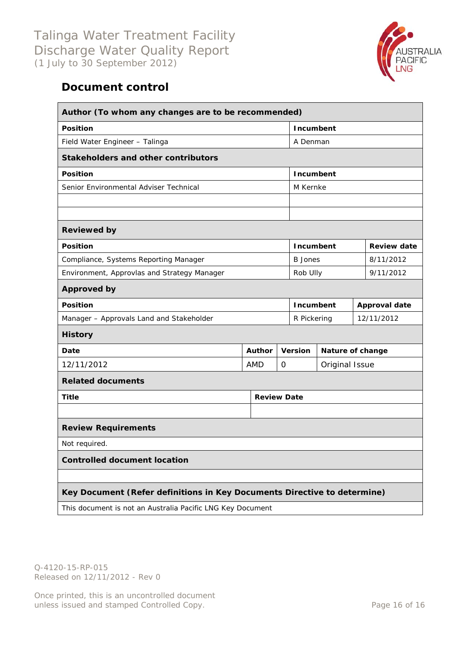

# **Document control**

| Author (To whom any changes are to be recommended)                       |                       |   |                      |                  |  |                    |  |
|--------------------------------------------------------------------------|-----------------------|---|----------------------|------------------|--|--------------------|--|
| <b>Position</b>                                                          |                       |   | Incumbent            |                  |  |                    |  |
| Field Water Engineer - Talinga                                           |                       |   | A Denman             |                  |  |                    |  |
| <b>Stakeholders and other contributors</b>                               |                       |   |                      |                  |  |                    |  |
| <b>Position</b>                                                          |                       |   | <b>Incumbent</b>     |                  |  |                    |  |
| Senior Environmental Adviser Technical                                   |                       |   | M Kernke             |                  |  |                    |  |
|                                                                          |                       |   |                      |                  |  |                    |  |
|                                                                          |                       |   |                      |                  |  |                    |  |
| <b>Reviewed by</b>                                                       |                       |   |                      |                  |  |                    |  |
| <b>Position</b>                                                          |                       |   | <b>Incumbent</b>     |                  |  | <b>Review date</b> |  |
| Compliance, Systems Reporting Manager                                    |                       |   | <b>B</b> Jones       |                  |  | 8/11/2012          |  |
| Environment, Approvlas and Strategy Manager                              | 9/11/2012<br>Rob Ully |   |                      |                  |  |                    |  |
| <b>Approved by</b>                                                       |                       |   |                      |                  |  |                    |  |
| <b>Position</b>                                                          | Incumbent             |   | <b>Approval date</b> |                  |  |                    |  |
| Manager - Approvals Land and Stakeholder                                 |                       |   | R Pickering          |                  |  | 12/11/2012         |  |
| <b>History</b>                                                           |                       |   |                      |                  |  |                    |  |
| Date                                                                     | <b>Author</b>         |   | <b>Version</b>       | Nature of change |  |                    |  |
| 12/11/2012                                                               | <b>AMD</b>            | 0 |                      | Original Issue   |  |                    |  |
| <b>Related documents</b>                                                 |                       |   |                      |                  |  |                    |  |
| <b>Title</b>                                                             | <b>Review Date</b>    |   |                      |                  |  |                    |  |
|                                                                          |                       |   |                      |                  |  |                    |  |
| <b>Review Requirements</b>                                               |                       |   |                      |                  |  |                    |  |
| Not required.                                                            |                       |   |                      |                  |  |                    |  |
| <b>Controlled document location</b>                                      |                       |   |                      |                  |  |                    |  |
|                                                                          |                       |   |                      |                  |  |                    |  |
| Key Document (Refer definitions in Key Documents Directive to determine) |                       |   |                      |                  |  |                    |  |
| This document is not an Australia Pacific LNG Key Document               |                       |   |                      |                  |  |                    |  |

Q-4120-15-RP-015 Released on 12/11/2012 - Rev 0

Once printed, this is an uncontrolled document unless issued and stamped Controlled Copy. The extendion of the Page 16 of 16